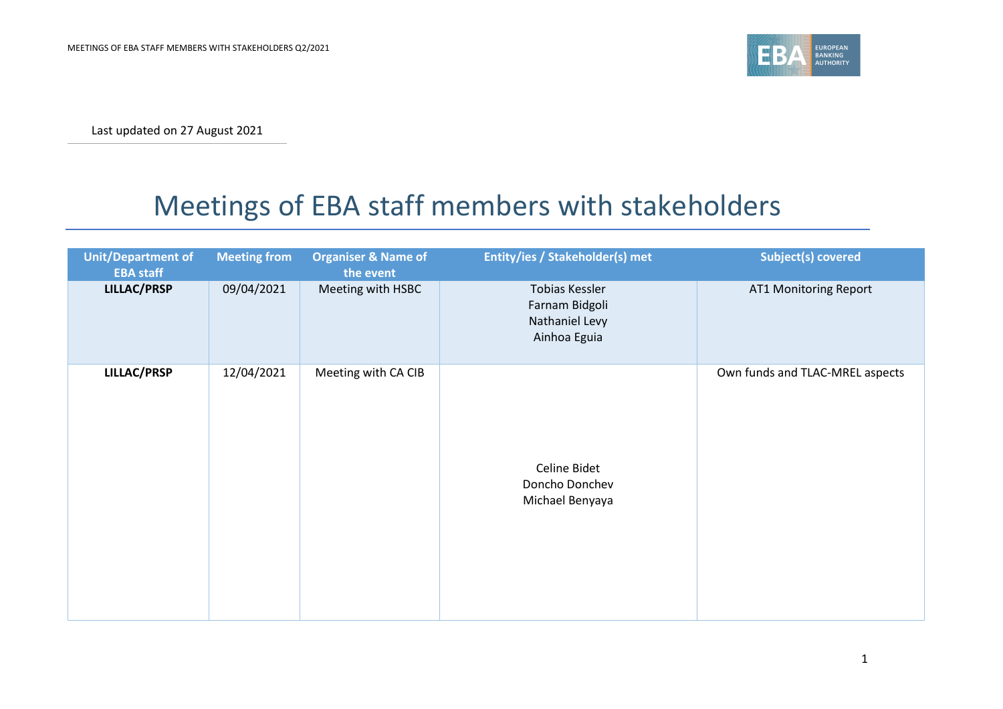

Last updated on 27 August 2021

## Meetings of EBA staff members with stakeholders

| <b>Unit/Department of</b><br><b>EBA staff</b> | <b>Meeting from</b> | <b>Organiser &amp; Name of</b><br>the event | Entity/ies / Stakeholder(s) met                                    | Subject(s) covered              |
|-----------------------------------------------|---------------------|---------------------------------------------|--------------------------------------------------------------------|---------------------------------|
| <b>LILLAC/PRSP</b>                            | 09/04/2021          | Meeting with HSBC                           | Tobias Kessler<br>Farnam Bidgoli<br>Nathaniel Levy<br>Ainhoa Eguia | AT1 Monitoring Report           |
| LILLAC/PRSP                                   | 12/04/2021          | Meeting with CA CIB                         | Celine Bidet<br>Doncho Donchev<br>Michael Benyaya                  | Own funds and TLAC-MREL aspects |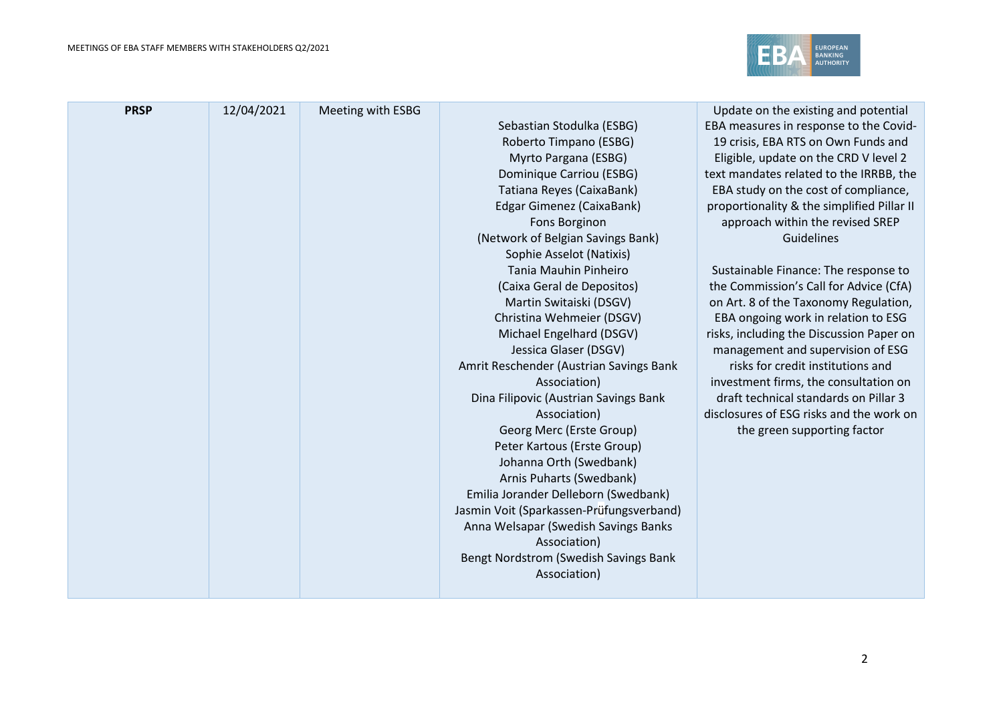

| <b>PRSP</b> | 12/04/2021 | Meeting with ESBG |                                          | Update on the existing and potential       |
|-------------|------------|-------------------|------------------------------------------|--------------------------------------------|
|             |            |                   | Sebastian Stodulka (ESBG)                | EBA measures in response to the Covid-     |
|             |            |                   | Roberto Timpano (ESBG)                   | 19 crisis, EBA RTS on Own Funds and        |
|             |            |                   | Myrto Pargana (ESBG)                     | Eligible, update on the CRD V level 2      |
|             |            |                   | Dominique Carriou (ESBG)                 | text mandates related to the IRRBB, the    |
|             |            |                   | Tatiana Reyes (CaixaBank)                | EBA study on the cost of compliance,       |
|             |            |                   | Edgar Gimenez (CaixaBank)                | proportionality & the simplified Pillar II |
|             |            |                   | Fons Borginon                            | approach within the revised SREP           |
|             |            |                   | (Network of Belgian Savings Bank)        | Guidelines                                 |
|             |            |                   | Sophie Asselot (Natixis)                 |                                            |
|             |            |                   | Tania Mauhin Pinheiro                    | Sustainable Finance: The response to       |
|             |            |                   | (Caixa Geral de Depositos)               | the Commission's Call for Advice (CfA)     |
|             |            |                   | Martin Switaiski (DSGV)                  | on Art. 8 of the Taxonomy Regulation,      |
|             |            |                   | Christina Wehmeier (DSGV)                | EBA ongoing work in relation to ESG        |
|             |            |                   | Michael Engelhard (DSGV)                 | risks, including the Discussion Paper on   |
|             |            |                   | Jessica Glaser (DSGV)                    | management and supervision of ESG          |
|             |            |                   | Amrit Reschender (Austrian Savings Bank  | risks for credit institutions and          |
|             |            |                   | Association)                             | investment firms, the consultation on      |
|             |            |                   | Dina Filipovic (Austrian Savings Bank    | draft technical standards on Pillar 3      |
|             |            |                   | Association)                             | disclosures of ESG risks and the work on   |
|             |            |                   | Georg Merc (Erste Group)                 | the green supporting factor                |
|             |            |                   | Peter Kartous (Erste Group)              |                                            |
|             |            |                   | Johanna Orth (Swedbank)                  |                                            |
|             |            |                   | Arnis Puharts (Swedbank)                 |                                            |
|             |            |                   | Emilia Jorander Delleborn (Swedbank)     |                                            |
|             |            |                   | Jasmin Voit (Sparkassen-Prüfungsverband) |                                            |
|             |            |                   | Anna Welsapar (Swedish Savings Banks     |                                            |
|             |            |                   | Association)                             |                                            |
|             |            |                   | Bengt Nordstrom (Swedish Savings Bank    |                                            |
|             |            |                   | Association)                             |                                            |
|             |            |                   |                                          |                                            |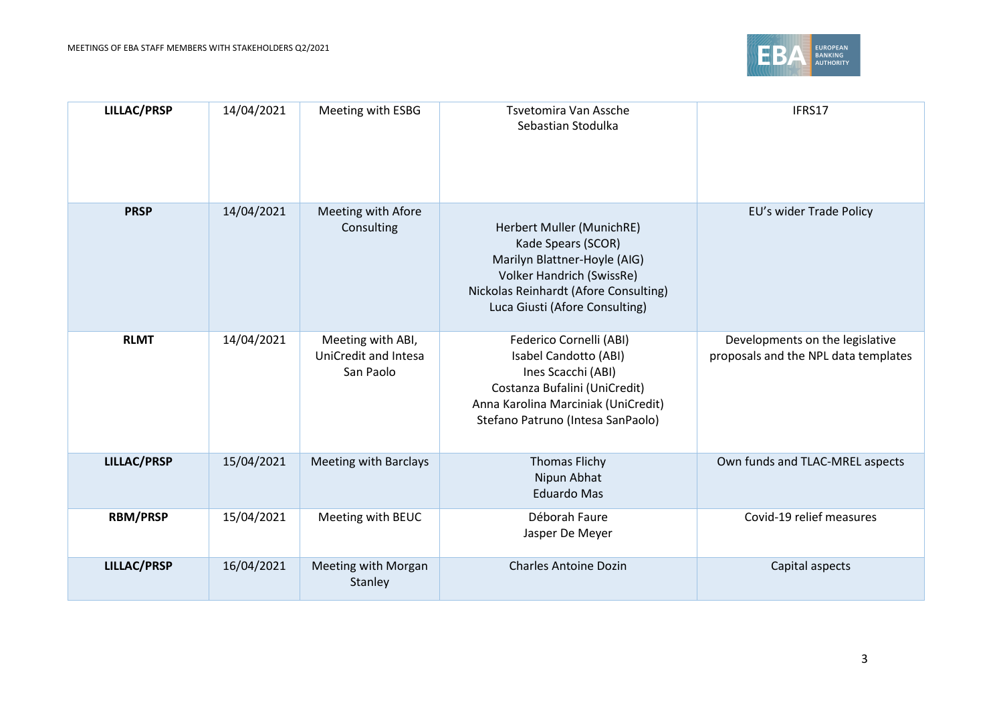

| <b>LILLAC/PRSP</b> | 14/04/2021 | Meeting with ESBG                                             | Tsvetomira Van Assche<br>Sebastian Stodulka                                                                                                                                                    | IFRS17                                                                  |
|--------------------|------------|---------------------------------------------------------------|------------------------------------------------------------------------------------------------------------------------------------------------------------------------------------------------|-------------------------------------------------------------------------|
| <b>PRSP</b>        | 14/04/2021 | Meeting with Afore<br>Consulting                              | Herbert Muller (MunichRE)<br>Kade Spears (SCOR)<br>Marilyn Blattner-Hoyle (AIG)<br><b>Volker Handrich (SwissRe)</b><br>Nickolas Reinhardt (Afore Consulting)<br>Luca Giusti (Afore Consulting) | EU's wider Trade Policy                                                 |
| <b>RLMT</b>        | 14/04/2021 | Meeting with ABI,<br><b>UniCredit and Intesa</b><br>San Paolo | Federico Cornelli (ABI)<br>Isabel Candotto (ABI)<br>Ines Scacchi (ABI)<br>Costanza Bufalini (UniCredit)<br>Anna Karolina Marciniak (UniCredit)<br>Stefano Patruno (Intesa SanPaolo)            | Developments on the legislative<br>proposals and the NPL data templates |
| <b>LILLAC/PRSP</b> | 15/04/2021 | <b>Meeting with Barclays</b>                                  | <b>Thomas Flichy</b><br>Nipun Abhat<br><b>Eduardo Mas</b>                                                                                                                                      | Own funds and TLAC-MREL aspects                                         |
| <b>RBM/PRSP</b>    | 15/04/2021 | Meeting with BEUC                                             | Déborah Faure<br>Jasper De Meyer                                                                                                                                                               | Covid-19 relief measures                                                |
| <b>LILLAC/PRSP</b> | 16/04/2021 | Meeting with Morgan<br>Stanley                                | <b>Charles Antoine Dozin</b>                                                                                                                                                                   | Capital aspects                                                         |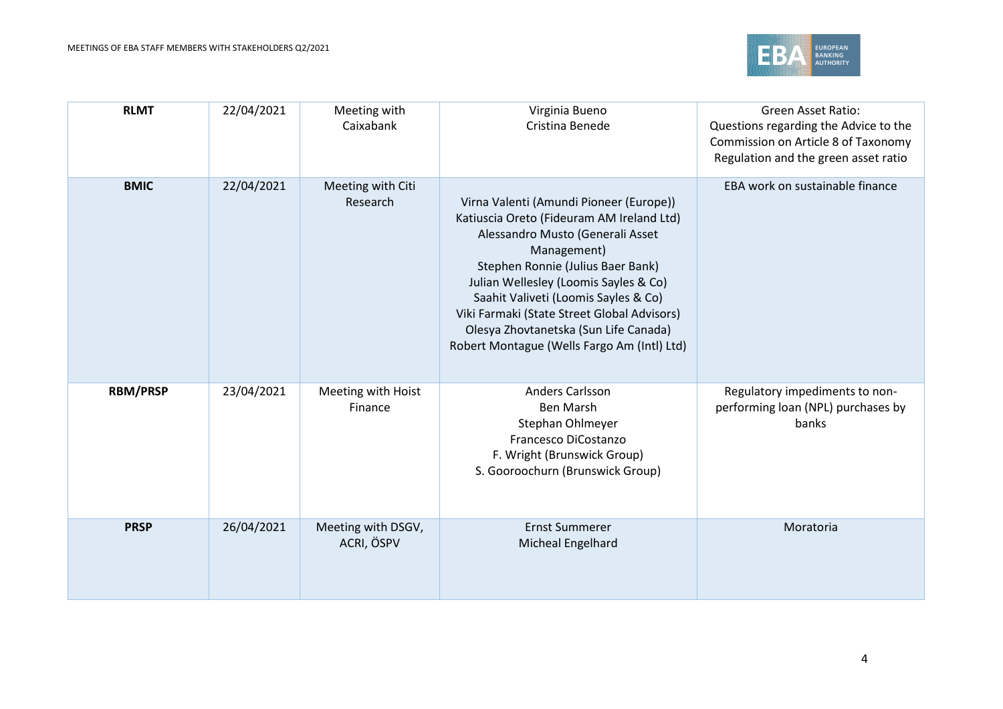

| <b>RLMT</b>     | 22/04/2021 | Meeting with<br>Caixabank        | Virginia Bueno<br>Cristina Benede                                                                                                                                                                                                                                                                                                                                                                    | <b>Green Asset Ratio:</b><br>Questions regarding the Advice to the<br>Commission on Article 8 of Taxonomy<br>Regulation and the green asset ratio |
|-----------------|------------|----------------------------------|------------------------------------------------------------------------------------------------------------------------------------------------------------------------------------------------------------------------------------------------------------------------------------------------------------------------------------------------------------------------------------------------------|---------------------------------------------------------------------------------------------------------------------------------------------------|
| <b>BMIC</b>     | 22/04/2021 | Meeting with Citi<br>Research    | Virna Valenti (Amundi Pioneer (Europe))<br>Katiuscia Oreto (Fideuram AM Ireland Ltd)<br>Alessandro Musto (Generali Asset<br>Management)<br>Stephen Ronnie (Julius Baer Bank)<br>Julian Wellesley (Loomis Sayles & Co)<br>Saahit Valiveti (Loomis Sayles & Co)<br>Viki Farmaki (State Street Global Advisors)<br>Olesya Zhovtanetska (Sun Life Canada)<br>Robert Montague (Wells Fargo Am (Intl) Ltd) | EBA work on sustainable finance                                                                                                                   |
| <b>RBM/PRSP</b> | 23/04/2021 | Meeting with Hoist<br>Finance    | Anders Carlsson<br><b>Ben Marsh</b><br>Stephan Ohlmeyer<br>Francesco DiCostanzo<br>F. Wright (Brunswick Group)<br>S. Gooroochurn (Brunswick Group)                                                                                                                                                                                                                                                   | Regulatory impediments to non-<br>performing loan (NPL) purchases by<br>banks                                                                     |
| <b>PRSP</b>     | 26/04/2021 | Meeting with DSGV,<br>ACRI, ÖSPV | <b>Ernst Summerer</b><br>Micheal Engelhard                                                                                                                                                                                                                                                                                                                                                           | Moratoria                                                                                                                                         |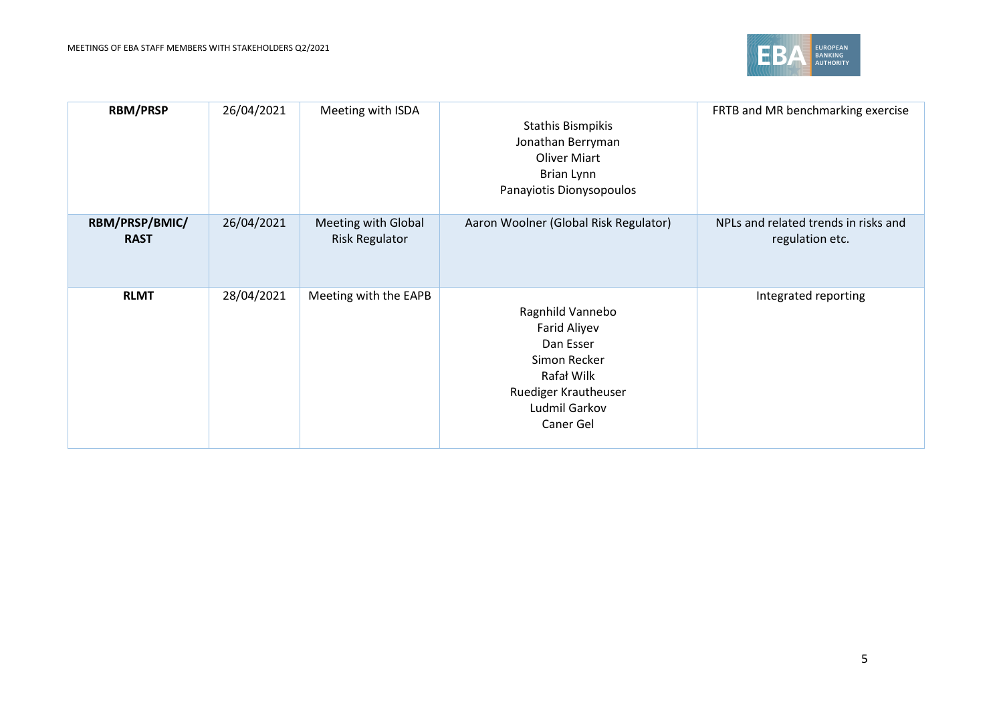

| <b>RBM/PRSP</b>               | 26/04/2021 | Meeting with ISDA                            | <b>Stathis Bismpikis</b><br>Jonathan Berryman<br><b>Oliver Miart</b><br>Brian Lynn<br>Panayiotis Dionysopoulos                    | FRTB and MR benchmarking exercise                       |
|-------------------------------|------------|----------------------------------------------|-----------------------------------------------------------------------------------------------------------------------------------|---------------------------------------------------------|
| RBM/PRSP/BMIC/<br><b>RAST</b> | 26/04/2021 | Meeting with Global<br><b>Risk Regulator</b> | Aaron Woolner (Global Risk Regulator)                                                                                             | NPLs and related trends in risks and<br>regulation etc. |
| <b>RLMT</b>                   | 28/04/2021 | Meeting with the EAPB                        | Ragnhild Vannebo<br>Farid Aliyev<br>Dan Esser<br>Simon Recker<br>Rafał Wilk<br>Ruediger Krautheuser<br>Ludmil Garkov<br>Caner Gel | Integrated reporting                                    |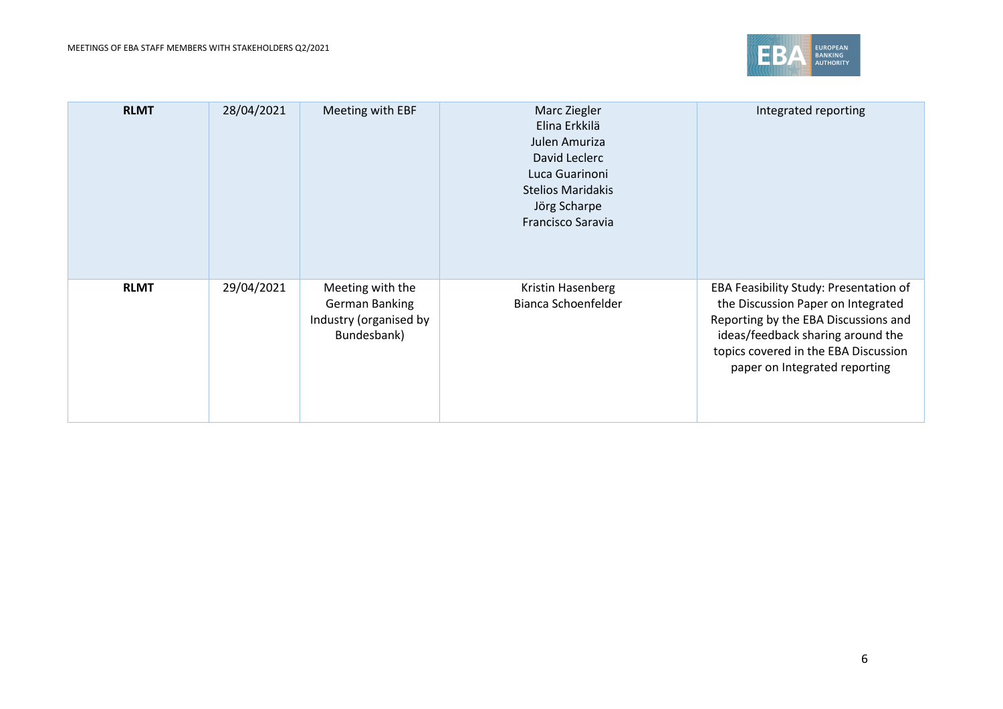

| <b>RLMT</b> | 28/04/2021 | Meeting with EBF                                                            | Marc Ziegler<br>Elina Erkkilä<br>Julen Amuriza<br>David Leclerc<br>Luca Guarinoni<br><b>Stelios Maridakis</b><br>Jörg Scharpe<br>Francisco Saravia | Integrated reporting                                                                                                                                                                                                               |
|-------------|------------|-----------------------------------------------------------------------------|----------------------------------------------------------------------------------------------------------------------------------------------------|------------------------------------------------------------------------------------------------------------------------------------------------------------------------------------------------------------------------------------|
| <b>RLMT</b> | 29/04/2021 | Meeting with the<br>German Banking<br>Industry (organised by<br>Bundesbank) | Kristin Hasenberg<br>Bianca Schoenfelder                                                                                                           | EBA Feasibility Study: Presentation of<br>the Discussion Paper on Integrated<br>Reporting by the EBA Discussions and<br>ideas/feedback sharing around the<br>topics covered in the EBA Discussion<br>paper on Integrated reporting |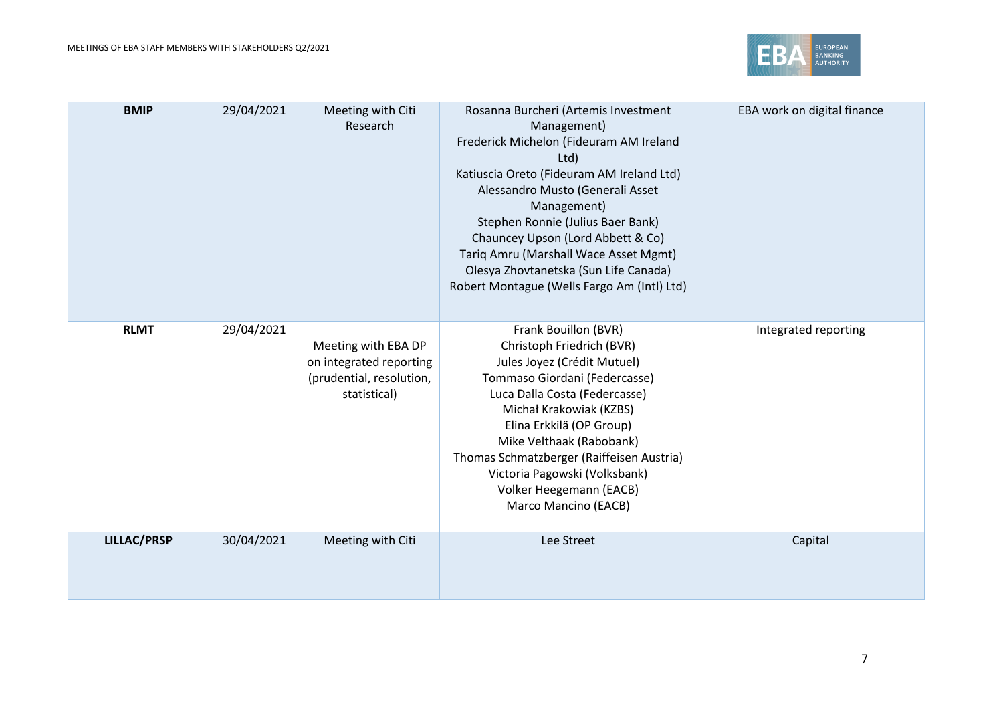

| <b>BMIP</b>        | 29/04/2021 | Meeting with Citi<br>Research                                                              | Rosanna Burcheri (Artemis Investment<br>Management)<br>Frederick Michelon (Fideuram AM Ireland<br>Ltd)<br>Katiuscia Oreto (Fideuram AM Ireland Ltd)<br>Alessandro Musto (Generali Asset<br>Management)<br>Stephen Ronnie (Julius Baer Bank)<br>Chauncey Upson (Lord Abbett & Co)<br>Tariq Amru (Marshall Wace Asset Mgmt)<br>Olesya Zhovtanetska (Sun Life Canada)<br>Robert Montague (Wells Fargo Am (Intl) Ltd) | EBA work on digital finance |
|--------------------|------------|--------------------------------------------------------------------------------------------|-------------------------------------------------------------------------------------------------------------------------------------------------------------------------------------------------------------------------------------------------------------------------------------------------------------------------------------------------------------------------------------------------------------------|-----------------------------|
| <b>RLMT</b>        | 29/04/2021 | Meeting with EBA DP<br>on integrated reporting<br>(prudential, resolution,<br>statistical) | Frank Bouillon (BVR)<br>Christoph Friedrich (BVR)<br>Jules Joyez (Crédit Mutuel)<br>Tommaso Giordani (Federcasse)<br>Luca Dalla Costa (Federcasse)<br>Michał Krakowiak (KZBS)<br>Elina Erkkilä (OP Group)<br>Mike Velthaak (Rabobank)<br>Thomas Schmatzberger (Raiffeisen Austria)<br>Victoria Pagowski (Volksbank)<br>Volker Heegemann (EACB)<br>Marco Mancino (EACB)                                            | Integrated reporting        |
| <b>LILLAC/PRSP</b> | 30/04/2021 | Meeting with Citi                                                                          | Lee Street                                                                                                                                                                                                                                                                                                                                                                                                        | Capital                     |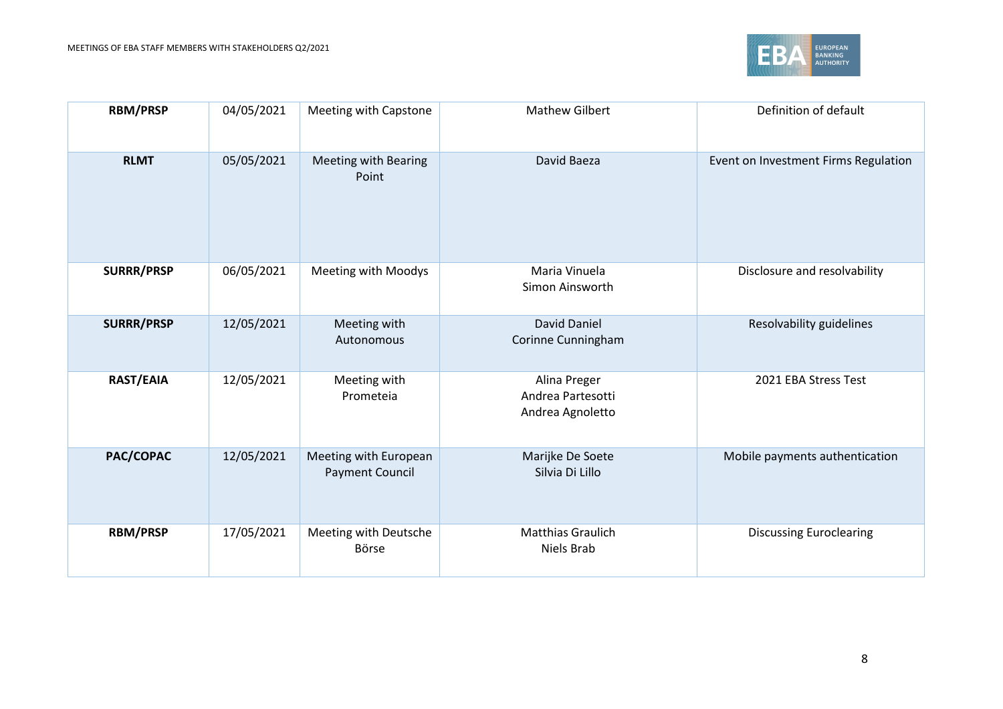

| <b>RBM/PRSP</b>   | 04/05/2021 | Meeting with Capstone                           | <b>Mathew Gilbert</b>                                 | Definition of default                |
|-------------------|------------|-------------------------------------------------|-------------------------------------------------------|--------------------------------------|
| <b>RLMT</b>       | 05/05/2021 | Meeting with Bearing<br>Point                   | David Baeza                                           | Event on Investment Firms Regulation |
| <b>SURRR/PRSP</b> | 06/05/2021 | Meeting with Moodys                             | Maria Vinuela<br>Simon Ainsworth                      | Disclosure and resolvability         |
| <b>SURRR/PRSP</b> | 12/05/2021 | Meeting with<br>Autonomous                      | <b>David Daniel</b><br>Corinne Cunningham             | Resolvability guidelines             |
| <b>RAST/EAIA</b>  | 12/05/2021 | Meeting with<br>Prometeia                       | Alina Preger<br>Andrea Partesotti<br>Andrea Agnoletto | 2021 EBA Stress Test                 |
| PAC/COPAC         | 12/05/2021 | Meeting with European<br><b>Payment Council</b> | Marijke De Soete<br>Silvia Di Lillo                   | Mobile payments authentication       |
| <b>RBM/PRSP</b>   | 17/05/2021 | Meeting with Deutsche<br>Börse                  | <b>Matthias Graulich</b><br>Niels Brab                | <b>Discussing Euroclearing</b>       |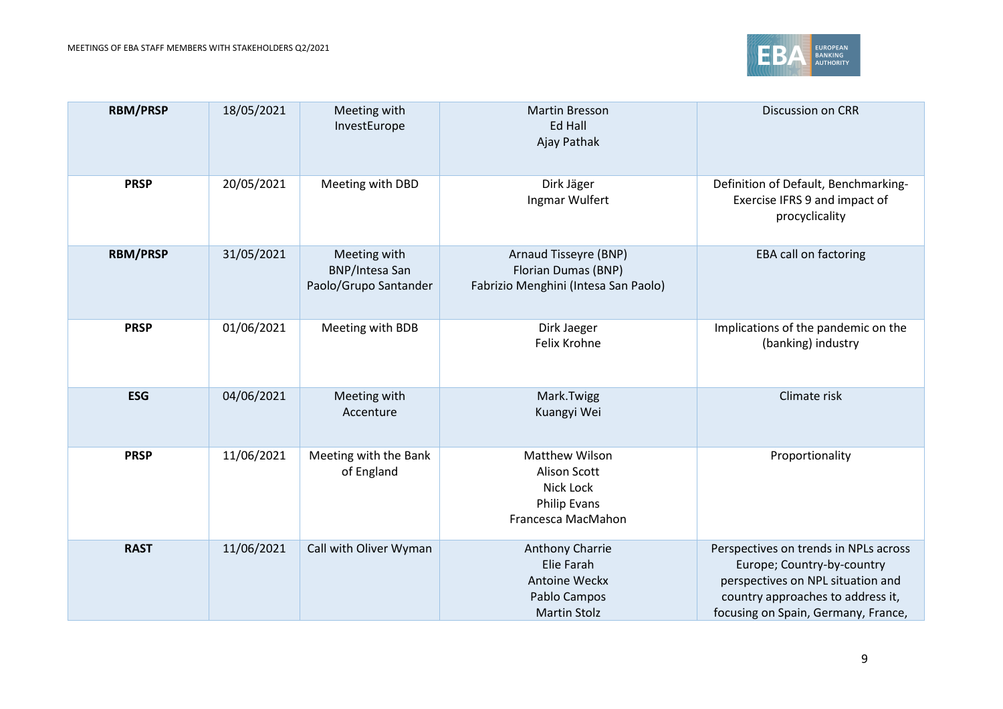

| <b>RBM/PRSP</b> | 18/05/2021 | Meeting with<br>InvestEurope                                   | <b>Martin Bresson</b><br><b>Ed Hall</b><br>Ajay Pathak                                   | Discussion on CRR                                                                                                                                                                    |
|-----------------|------------|----------------------------------------------------------------|------------------------------------------------------------------------------------------|--------------------------------------------------------------------------------------------------------------------------------------------------------------------------------------|
| <b>PRSP</b>     | 20/05/2021 | Meeting with DBD                                               | Dirk Jäger<br>Ingmar Wulfert                                                             | Definition of Default, Benchmarking-<br>Exercise IFRS 9 and impact of<br>procyclicality                                                                                              |
| <b>RBM/PRSP</b> | 31/05/2021 | Meeting with<br><b>BNP/Intesa San</b><br>Paolo/Grupo Santander | Arnaud Tisseyre (BNP)<br>Florian Dumas (BNP)<br>Fabrizio Menghini (Intesa San Paolo)     | <b>EBA call on factoring</b>                                                                                                                                                         |
| <b>PRSP</b>     | 01/06/2021 | Meeting with BDB                                               | Dirk Jaeger<br>Felix Krohne                                                              | Implications of the pandemic on the<br>(banking) industry                                                                                                                            |
| <b>ESG</b>      | 04/06/2021 | Meeting with<br>Accenture                                      | Mark.Twigg<br>Kuangyi Wei                                                                | Climate risk                                                                                                                                                                         |
| <b>PRSP</b>     | 11/06/2021 | Meeting with the Bank<br>of England                            | <b>Matthew Wilson</b><br>Alison Scott<br>Nick Lock<br>Philip Evans<br>Francesca MacMahon | Proportionality                                                                                                                                                                      |
| <b>RAST</b>     | 11/06/2021 | Call with Oliver Wyman                                         | Anthony Charrie<br>Elie Farah<br>Antoine Weckx<br>Pablo Campos<br><b>Martin Stolz</b>    | Perspectives on trends in NPLs across<br>Europe; Country-by-country<br>perspectives on NPL situation and<br>country approaches to address it,<br>focusing on Spain, Germany, France, |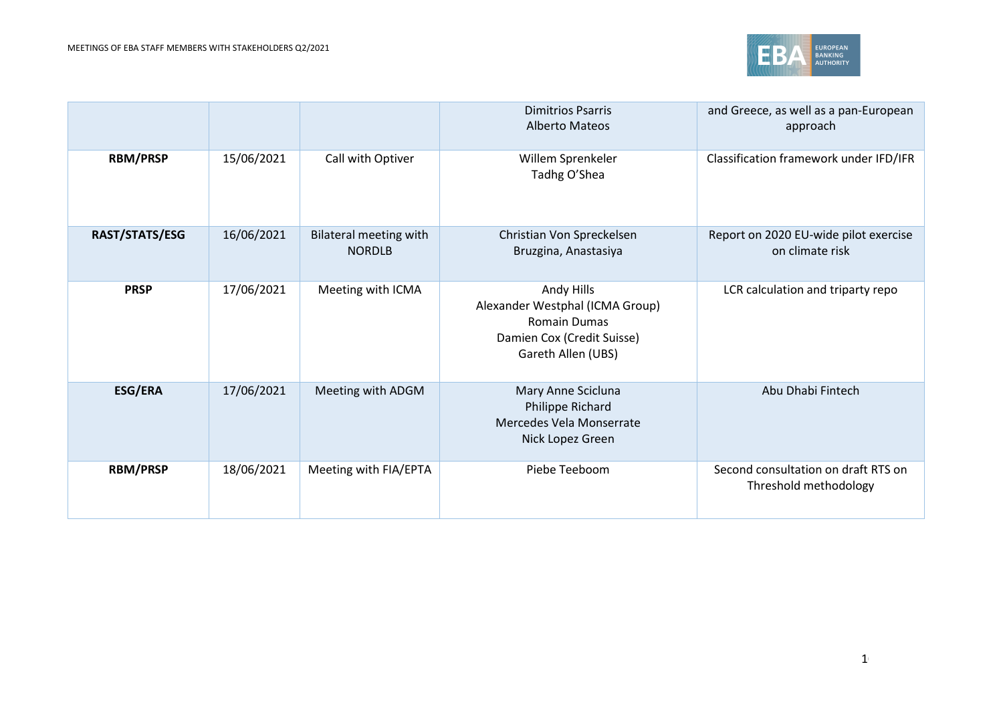

|                 |            |                                                | <b>Dimitrios Psarris</b><br><b>Alberto Mateos</b>                                                                        | and Greece, as well as a pan-European<br>approach            |
|-----------------|------------|------------------------------------------------|--------------------------------------------------------------------------------------------------------------------------|--------------------------------------------------------------|
| <b>RBM/PRSP</b> | 15/06/2021 | Call with Optiver                              | Willem Sprenkeler<br>Tadhg O'Shea                                                                                        | Classification framework under IFD/IFR                       |
| RAST/STATS/ESG  | 16/06/2021 | <b>Bilateral meeting with</b><br><b>NORDLB</b> | Christian Von Spreckelsen<br>Bruzgina, Anastasiya                                                                        | Report on 2020 EU-wide pilot exercise<br>on climate risk     |
| <b>PRSP</b>     | 17/06/2021 | Meeting with ICMA                              | Andy Hills<br>Alexander Westphal (ICMA Group)<br><b>Romain Dumas</b><br>Damien Cox (Credit Suisse)<br>Gareth Allen (UBS) | LCR calculation and triparty repo                            |
| <b>ESG/ERA</b>  | 17/06/2021 | Meeting with ADGM                              | Mary Anne Scicluna<br>Philippe Richard<br>Mercedes Vela Monserrate<br>Nick Lopez Green                                   | Abu Dhabi Fintech                                            |
| <b>RBM/PRSP</b> | 18/06/2021 | Meeting with FIA/EPTA                          | Piebe Teeboom                                                                                                            | Second consultation on draft RTS on<br>Threshold methodology |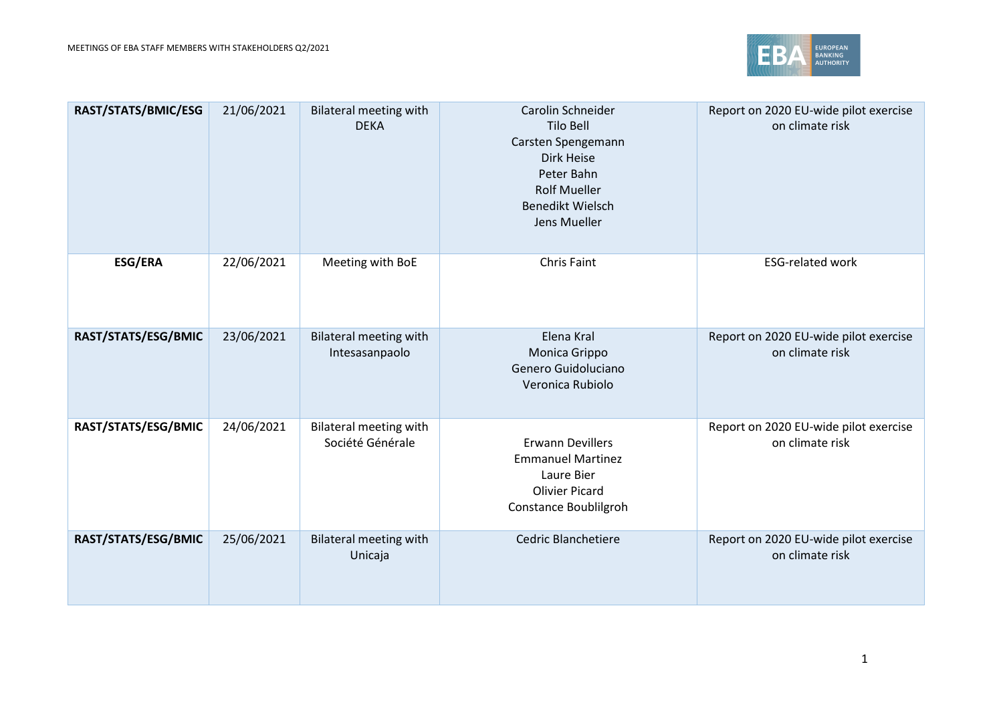

| RAST/STATS/BMIC/ESG | 21/06/2021 | <b>Bilateral meeting with</b><br><b>DEKA</b>    | Carolin Schneider<br>Tilo Bell<br>Carsten Spengemann<br>Dirk Heise<br>Peter Bahn<br><b>Rolf Mueller</b><br>Benedikt Wielsch<br>Jens Mueller | Report on 2020 EU-wide pilot exercise<br>on climate risk |
|---------------------|------------|-------------------------------------------------|---------------------------------------------------------------------------------------------------------------------------------------------|----------------------------------------------------------|
| <b>ESG/ERA</b>      | 22/06/2021 | Meeting with BoE                                | <b>Chris Faint</b>                                                                                                                          | <b>ESG-related work</b>                                  |
| RAST/STATS/ESG/BMIC | 23/06/2021 | <b>Bilateral meeting with</b><br>Intesasanpaolo | Elena Kral<br>Monica Grippo<br>Genero Guidoluciano<br>Veronica Rubiolo                                                                      | Report on 2020 EU-wide pilot exercise<br>on climate risk |
| RAST/STATS/ESG/BMIC | 24/06/2021 | Bilateral meeting with<br>Société Générale      | <b>Erwann Devillers</b><br><b>Emmanuel Martinez</b><br>Laure Bier<br><b>Olivier Picard</b><br>Constance Boublilgroh                         | Report on 2020 EU-wide pilot exercise<br>on climate risk |
| RAST/STATS/ESG/BMIC | 25/06/2021 | <b>Bilateral meeting with</b><br>Unicaja        | Cedric Blanchetiere                                                                                                                         | Report on 2020 EU-wide pilot exercise<br>on climate risk |